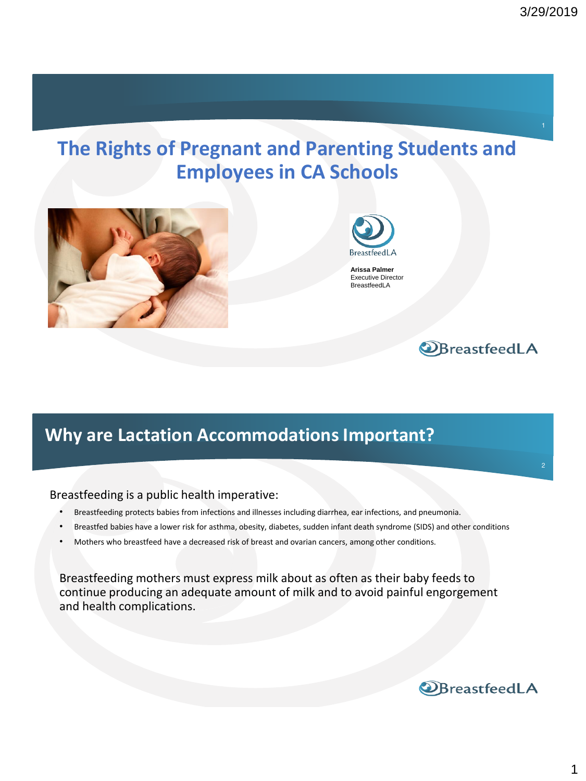## **The Rights of Pregnant and Parenting Students and Employees in CA Schools**





**Arissa Palmer** Executive Director BreastfeedLA

### **OBreastfeedLA**

2

### **Why are Lactation Accommodations Important?**

#### Breastfeeding is a public health imperative:

- Breastfeeding protects babies from infections and illnesses including diarrhea, ear infections, and pneumonia.
- Breastfed babies have a lower risk for asthma, obesity, diabetes, sudden infant death syndrome (SIDS) and other conditions
- Mothers who breastfeed have a decreased risk of breast and ovarian cancers, among other conditions.

Breastfeeding mothers must express milk about as often as their baby feeds to continue producing an adequate amount of milk and to avoid painful engorgement and health complications.

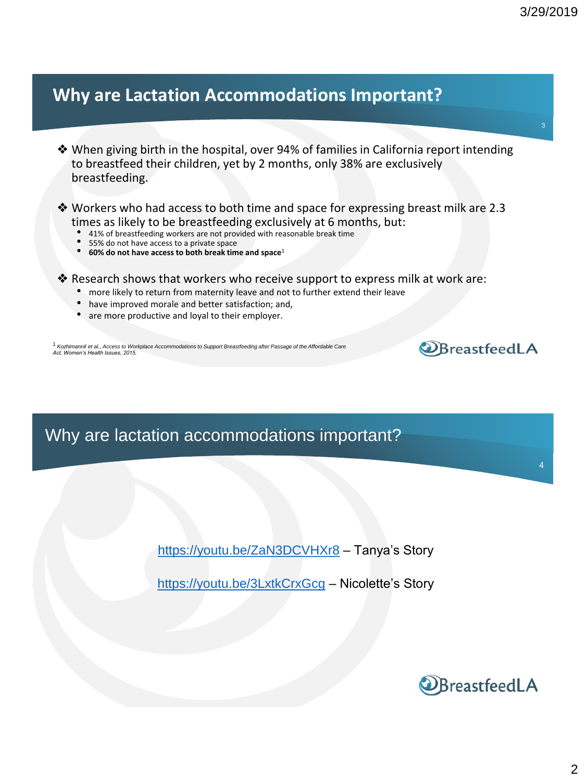4

### **Why are Lactation Accommodations Important?**

- ❖ When giving birth in the hospital, over 94% of families in California report intending to breastfeed their children, yet by 2 months, only 38% are exclusively breastfeeding.
- ❖ Workers who had access to both time and space for expressing breast milk are 2.3 times as likely to be breastfeeding exclusively at 6 months, but:
	- 41% of breastfeeding workers are not provided with reasonable break time
	- 55% do not have access to a private space
	- **60% do not have access to both break time and space**<sup>1</sup>
- ❖ Research shows that workers who receive support to express milk at work are:
	- more likely to return from maternity leave and not to further extend their leave
	- have improved morale and better satisfaction; and,
	- are more productive and loyal to their employer.

<sup>1</sup>*Kozhimannil et al., Access to Workplace Accommodations to Support Breastfeeding after Passage of the Affordable Care Act, Women's Health Issues, 2015.*

Why are lactation accommodations important?

<https://youtu.be/ZaN3DCVHXr8> - Tanya's Story

<https://youtu.be/3LxtkCrxGcg> – Nicolette's Story



**O**BreastfeedLA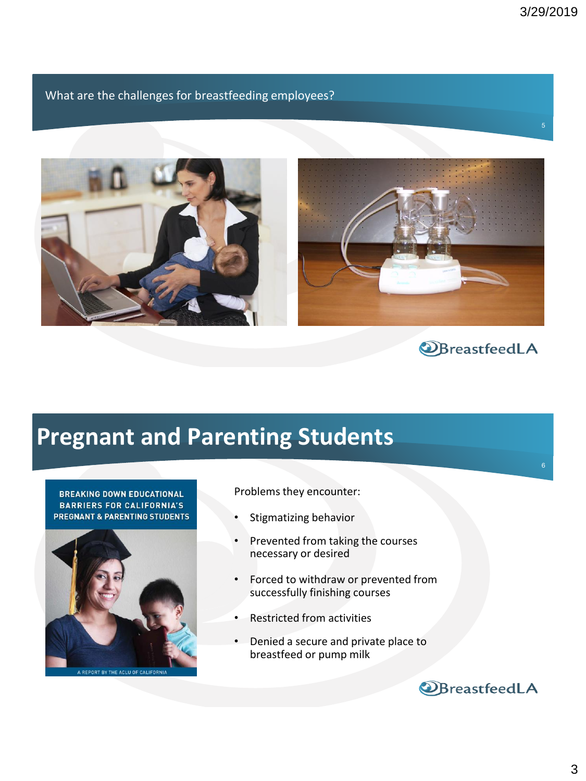6

#### What are the challenges for breastfeeding employees?



### **OBreastfeedLA**

# **Pregnant and Parenting Students**

#### **BREAKING DOWN EDUCATIONAL BARRIERS FOR CALIFORNIA'S** PREGNANT & PARENTING STUDENTS



Problems they encounter:

- Stigmatizing behavior
- Prevented from taking the courses necessary or desired
- Forced to withdraw or prevented from successfully finishing courses
- Restricted from activities
- Denied a secure and private place to breastfeed or pump milk

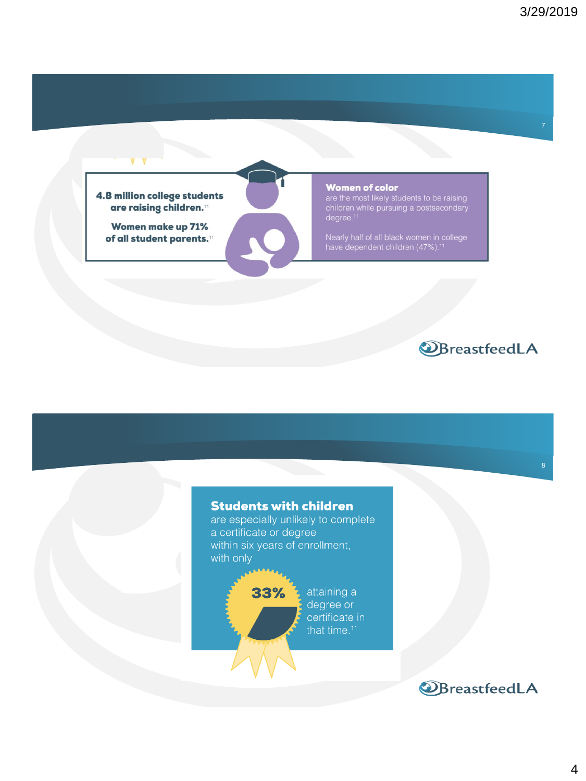





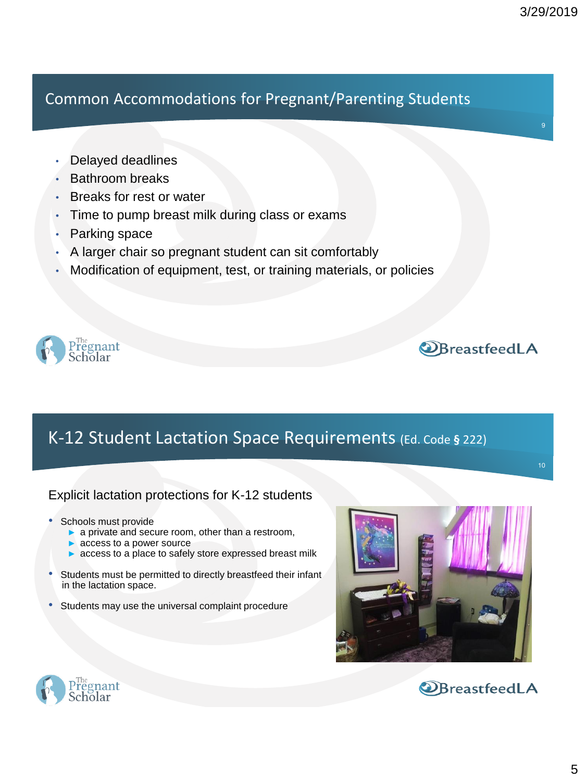10

### Common Accommodations for Pregnant/Parenting Students

- Delayed deadlines
- Bathroom breaks
- Breaks for rest or water
- Time to pump breast milk during class or exams
- Parking space
- A larger chair so pregnant student can sit comfortably
- Modification of equipment, test, or training materials, or policies



### **OBreastfeedLA**

### K-12 Student Lactation Space Requirements (Ed. Code **§** 222)

### Explicit lactation protections for K-12 students

- Schools must provide
	- ► a private and secure room, other than a restroom,
	- ► access to a power source
	- ► access to a place to safely store expressed breast milk
- Students must be permitted to directly breastfeed their infant in the lactation space.
- Students may use the universal complaint procedure





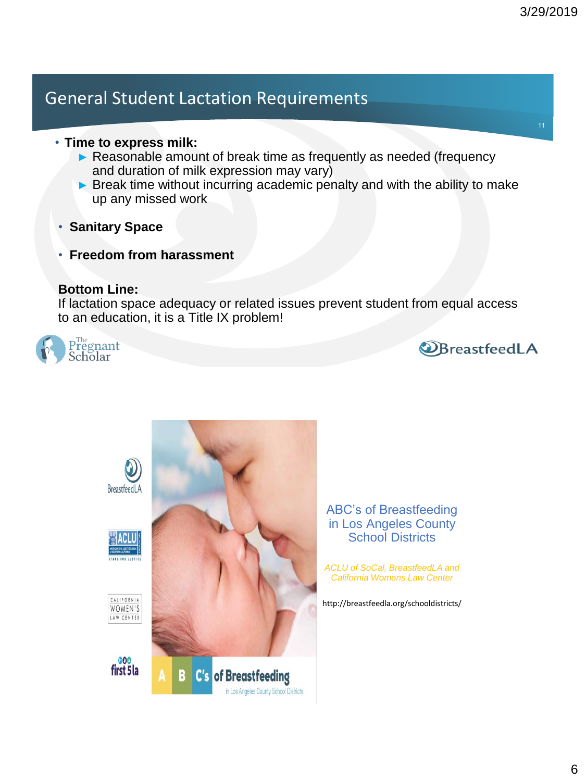## General Student Lactation Requirements

#### • **Time to express milk:**

- ► Reasonable amount of break time as frequently as needed (frequency and duration of milk expression may vary)
- ► Break time without incurring academic penalty and with the ability to make up any missed work
- **Sanitary Space**
- **Freedom from harassment**

#### **Bottom Line:**

If lactation space adequacy or related issues prevent student from equal access to an education, it is a Title IX problem!







ABC's of Breastfeeding in Los Angeles County School Districts

*ACLU of SoCal, BreastfeedLA and California Womens Law Center*

http://breastfeedla.org/schooldistricts/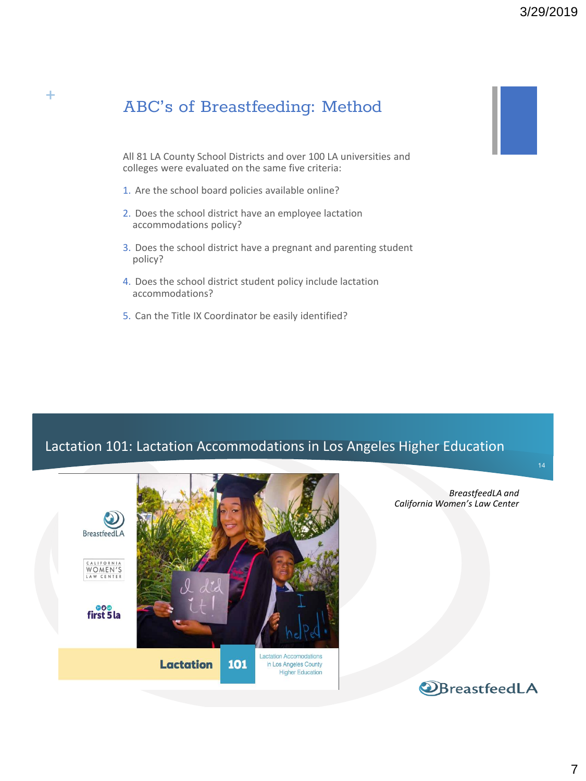### ABC's of Breastfeeding: Method

All 81 LA County School Districts and over 100 LA universities and colleges were evaluated on the same five criteria:

1. Are the school board policies available online?

**+**

- 2. Does the school district have an employee lactation accommodations policy?
- 3. Does the school district have a pregnant and parenting student policy?
- 4. Does the school district student policy include lactation accommodations?
- 5. Can the Title IX Coordinator be easily identified?

### Lactation 101: Lactation Accommodations in Los Angeles Higher Education

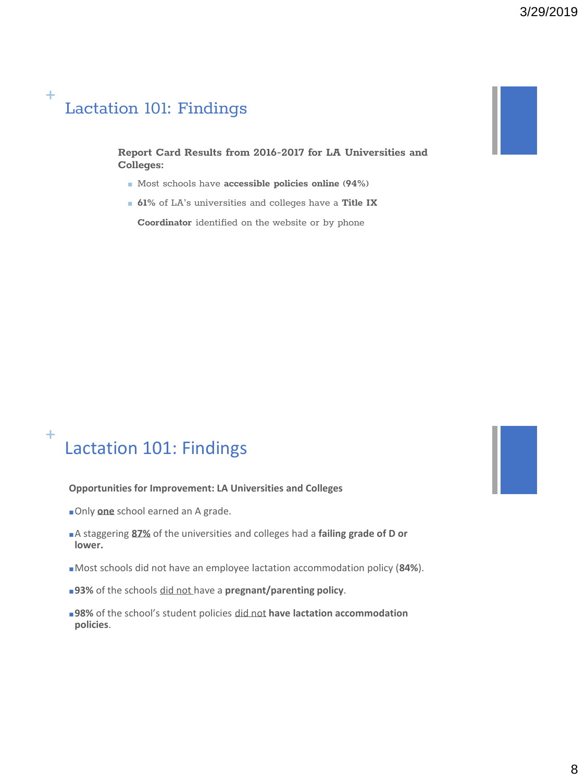#### **+** Lactation 101: Findings

**Report Card Results from 2016-2017 for LA Universities and Colleges:**

- Most schools have **accessible policies online** (**94%**)
- **61%** of LA's universities and colleges have a **Title IX**

**Coordinator** identified on the website or by phone

#### **+** Lactation 101: Findings

#### **Opportunities for Improvement: LA Universities and Colleges**

- ■Only **one** school earned an A grade.
- ■A staggering **87%** of the universities and colleges had a **failing grade of D or lower.**
- ■Most schools did not have an employee lactation accommodation policy (**84%**).
- ■**93%** of the schools did not have a **pregnant/parenting policy**.
- ■**98%** of the school's student policies did not have lactation accommodation **policies**.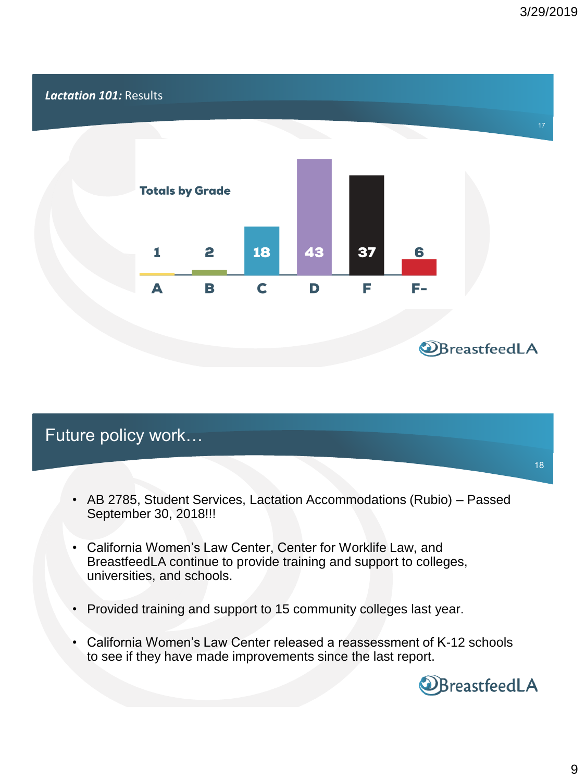

### Future policy work…

- AB 2785, Student Services, Lactation Accommodations (Rubio) Passed September 30, 2018!!!
- California Women's Law Center, Center for Worklife Law, and BreastfeedLA continue to provide training and support to colleges, universities, and schools.
- Provided training and support to 15 community colleges last year.
- California Women's Law Center released a reassessment of K-12 schools to see if they have made improvements since the last report.



18